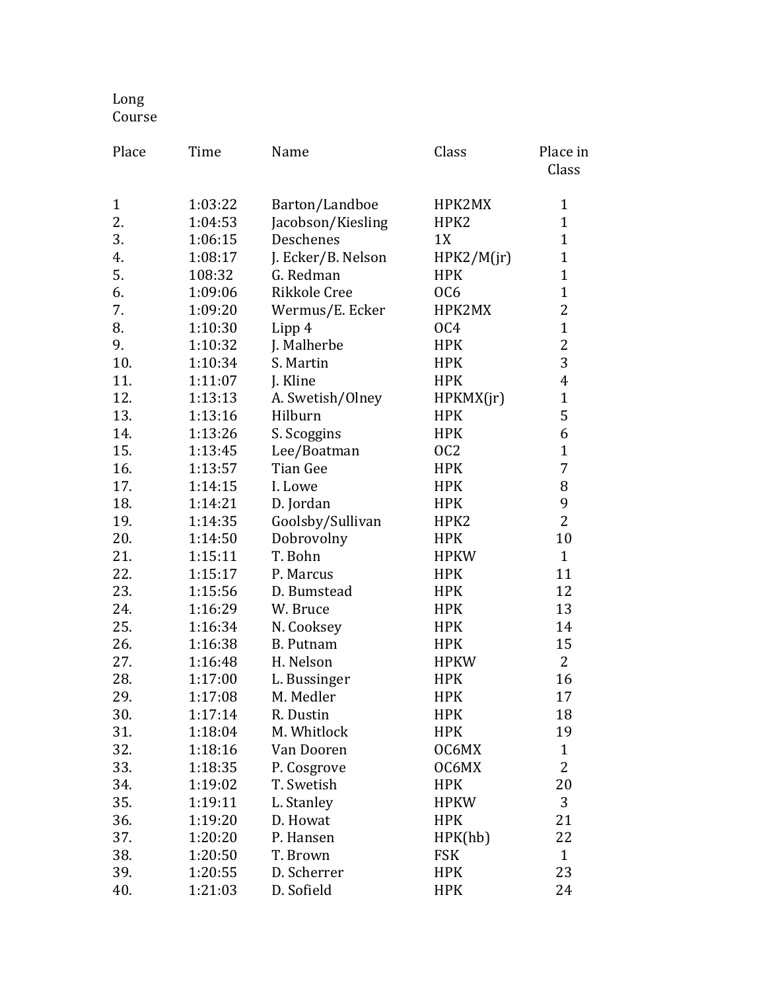## Long Course

| Place        | Time    | Name               | Class           | Place in<br>Class |
|--------------|---------|--------------------|-----------------|-------------------|
| $\mathbf{1}$ | 1:03:22 | Barton/Landboe     | HPK2MX          | 1                 |
| 2.           | 1:04:53 | Jacobson/Kiesling  | HPK2            | $\mathbf{1}$      |
| 3.           | 1:06:15 | Deschenes          | 1X              | $\mathbf{1}$      |
| 4.           | 1:08:17 | J. Ecker/B. Nelson | HPK2/M(jr)      | $\mathbf{1}$      |
| 5.           | 108:32  | G. Redman          | <b>HPK</b>      | $\mathbf{1}$      |
| 6.           | 1:09:06 | Rikkole Cree       | OC <sub>6</sub> | $\mathbf{1}$      |
| 7.           | 1:09:20 | Wermus/E. Ecker    | HPK2MX          | $\overline{c}$    |
| 8.           | 1:10:30 | Lipp 4             | OC <sub>4</sub> | $\mathbf{1}$      |
| 9.           | 1:10:32 | J. Malherbe        | <b>HPK</b>      | $\overline{2}$    |
| 10.          | 1:10:34 | S. Martin          | <b>HPK</b>      | 3                 |
| 11.          | 1:11:07 | J. Kline           | <b>HPK</b>      | $\overline{4}$    |
| 12.          | 1:13:13 | A. Swetish/Olney   | HPKMX(jr)       | $\mathbf{1}$      |
| 13.          | 1:13:16 | Hilburn            | <b>HPK</b>      | 5                 |
| 14.          | 1:13:26 | S. Scoggins        | <b>HPK</b>      | 6                 |
| 15.          | 1:13:45 | Lee/Boatman        | OC <sub>2</sub> | $\mathbf{1}$      |
| 16.          | 1:13:57 | <b>Tian Gee</b>    | <b>HPK</b>      | 7                 |
| 17.          | 1:14:15 | I. Lowe            | <b>HPK</b>      | 8                 |
| 18.          | 1:14:21 | D. Jordan          | <b>HPK</b>      | 9                 |
| 19.          | 1:14:35 | Goolsby/Sullivan   | HPK2            | $\overline{2}$    |
| 20.          | 1:14:50 | Dobrovolny         | <b>HPK</b>      | 10                |
| 21.          | 1:15:11 | T. Bohn            | <b>HPKW</b>     | $\mathbf{1}$      |
| 22.          | 1:15:17 | P. Marcus          | <b>HPK</b>      | 11                |
| 23.          | 1:15:56 | D. Bumstead        | <b>HPK</b>      | 12                |
| 24.          | 1:16:29 | W. Bruce           | <b>HPK</b>      | 13                |
| 25.          | 1:16:34 | N. Cooksey         | <b>HPK</b>      | 14                |
| 26.          | 1:16:38 | <b>B.</b> Putnam   | <b>HPK</b>      | 15                |
| 27.          | 1:16:48 | H. Nelson          | <b>HPKW</b>     | $\overline{2}$    |
| 28.          | 1:17:00 | L. Bussinger       | <b>HPK</b>      | 16                |
| 29.          | 1:17:08 | M. Medler          | <b>HPK</b>      | 17                |
| 30.          | 1:17:14 | R. Dustin          | <b>HPK</b>      | 18                |
| 31.          | 1:18:04 | M. Whitlock        | <b>HPK</b>      | 19                |
| 32.          | 1:18:16 | Van Dooren         | OC6MX           | $\mathbf{1}$      |
| 33.          | 1:18:35 | P. Cosgrove        | OC6MX           | 2                 |
| 34.          | 1:19:02 | T. Swetish         | <b>HPK</b>      | 20                |
| 35.          | 1:19:11 | L. Stanley         | <b>HPKW</b>     | 3                 |
| 36.          | 1:19:20 | D. Howat           | <b>HPK</b>      | 21                |
| 37.          | 1:20:20 | P. Hansen          | HPK(hb)         | 22                |
| 38.          | 1:20:50 | T. Brown           | FSK             | $\mathbf{1}$      |
| 39.          | 1:20:55 | D. Scherrer        | <b>HPK</b>      | 23                |
| 40.          | 1:21:03 | D. Sofield         | <b>HPK</b>      | 24                |